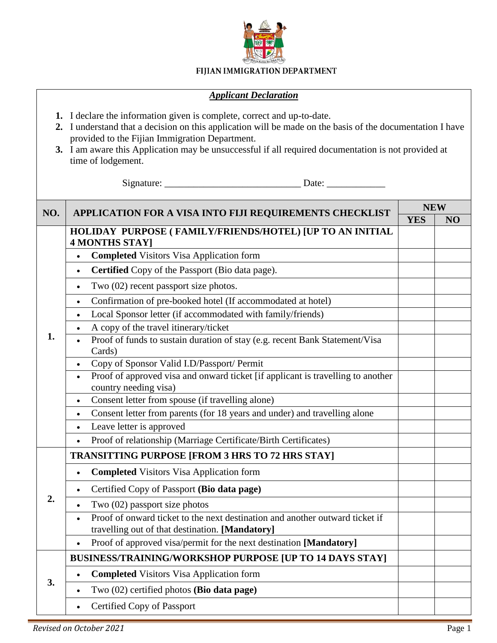

## FIJIAN IMMIGRATION DEPARTMENT

## *Applicant Declaration*

- **1.** I declare the information given is complete, correct and up-to-date.
- **2.** I understand that a decision on this application will be made on the basis of the documentation I have provided to the Fijian Immigration Department.
- **3.** I am aware this Application may be unsuccessful if all required documentation is not provided at time of lodgement.

Signature: \_\_\_\_\_\_\_\_\_\_\_\_\_\_\_\_\_\_\_\_\_\_\_\_\_\_\_\_ Date: \_\_\_\_\_\_\_\_\_\_\_\_

| NO. | APPLICATION FOR A VISA INTO FIJI REQUIREMENTS CHECKLIST                                                                                      | <b>NEW</b> |    |
|-----|----------------------------------------------------------------------------------------------------------------------------------------------|------------|----|
|     |                                                                                                                                              | <b>YES</b> | NO |
| 1.  | HOLIDAY PURPOSE (FAMILY/FRIENDS/HOTEL) [UP TO AN INITIAL<br><b>4 MONTHS STAY</b>                                                             |            |    |
|     | <b>Completed Visitors Visa Application form</b><br>$\bullet$                                                                                 |            |    |
|     | Certified Copy of the Passport (Bio data page).<br>$\bullet$                                                                                 |            |    |
|     | Two (02) recent passport size photos.<br>$\bullet$                                                                                           |            |    |
|     | Confirmation of pre-booked hotel (If accommodated at hotel)<br>$\bullet$                                                                     |            |    |
|     | Local Sponsor letter (if accommodated with family/friends)<br>$\bullet$                                                                      |            |    |
|     | A copy of the travel itinerary/ticket                                                                                                        |            |    |
|     | Proof of funds to sustain duration of stay (e.g. recent Bank Statement/Visa<br>Cards)                                                        |            |    |
|     | Copy of Sponsor Valid I.D/Passport/ Permit<br>$\bullet$                                                                                      |            |    |
|     | Proof of approved visa and onward ticket [if applicant is travelling to another<br>$\bullet$<br>country needing visa)                        |            |    |
|     | Consent letter from spouse (if travelling alone)<br>$\bullet$                                                                                |            |    |
|     | Consent letter from parents (for 18 years and under) and travelling alone<br>$\bullet$                                                       |            |    |
|     | Leave letter is approved<br>$\bullet$                                                                                                        |            |    |
|     | Proof of relationship (Marriage Certificate/Birth Certificates)<br>$\bullet$                                                                 |            |    |
| 2.  | <b>TRANSITTING PURPOSE [FROM 3 HRS TO 72 HRS STAY]</b>                                                                                       |            |    |
|     | <b>Completed Visitors Visa Application form</b><br>$\bullet$                                                                                 |            |    |
|     | Certified Copy of Passport (Bio data page)<br>$\bullet$                                                                                      |            |    |
|     | Two (02) passport size photos                                                                                                                |            |    |
|     | Proof of onward ticket to the next destination and another outward ticket if<br>$\bullet$<br>travelling out of that destination. [Mandatory] |            |    |
|     | Proof of approved visa/permit for the next destination [Mandatory]                                                                           |            |    |
| 3.  | <b>BUSINESS/TRAINING/WORKSHOP PURPOSE [UP TO 14 DAYS STAY]</b>                                                                               |            |    |
|     | <b>Completed Visitors Visa Application form</b><br>$\bullet$                                                                                 |            |    |
|     | Two (02) certified photos (Bio data page)<br>$\bullet$                                                                                       |            |    |
|     | Certified Copy of Passport                                                                                                                   |            |    |